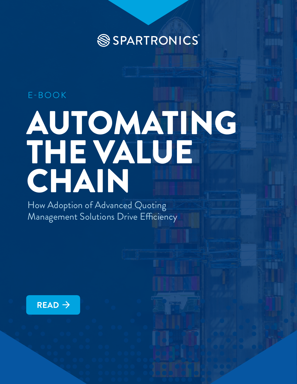SSPARTRONICS®

### E-BOOK

# AUTOMATING THE VALUE CHAIN

How Adoption of Advanced Quoting Management Solutions Drive Efficiency

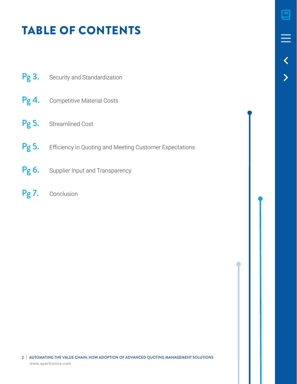# TABLE OF CONTENTS

- Pg 3. [Security and Standardization](#page-2-0)
- Pg 4. [Competitive Material Costs](#page-3-0)
- Pg 5. [Streamlined Cost](#page-4-0)
- Pg 5. Efficiency in Quoting and Meeting Customer Expectations
- Pg 6. [Supplier Input and Transparency](#page-5-0)
- Pg 7. [Conclusion](#page-6-0)

2 | AUTOMATING THE VALUE CHAIN: HOW ADOPTION OF ADVANCED QUOTING MANAGEMENT SOLUTIONS [www.spartronics.com](https://www.spartronics.com)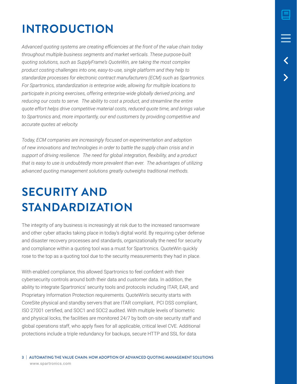# <span id="page-2-0"></span>**INTRODUCTION**

*Advanced quoting systems are creating efficiencies at the front of the value chain today throughout multiple business segments and market verticals. These purpose-built quoting solutions, such as SupplyFrame's QuoteWin, are taking the most complex product costing challenges into one, easy-to-use, single platform and they help to standardize processes for electronic contract manufacturers (ECM) such as Spartronics. For Spartronics, standardization is enterprise wide, allowing for multiple locations to participate in pricing exercises, offering enterprise-wide globally derived pricing, and*  reducing our costs to serve. The ability to cost a product, and streamline the entire *quote effort helps drive competitive material costs, reduced quote time, and brings value*  to Spartronics and, more importantly, our end customers by providing competitive and *accurate quotes at velocity.*

*Today, ECM companies are increasingly focused on experimentation and adoption of new innovations and technologies in order to battle the supply chain crisis and in support of driving resilience. The need for global integration, flexibility, and a product that is easy to use is undoubtedly more prevalent than ever. The advantages of utilizing advanced quoting management solutions greatly outweighs traditional methods.* 

## **SECURITY AND STANDARDIZATION**

The integrity of any business is increasingly at risk due to the increased ransomware and other cyber attacks taking place in today's digital world. By requiring cyber defense and disaster recovery processes and standards, organizationally the need for security and compliance within a quoting tool was a must for Spartronics. QuoteWin quickly rose to the top as a quoting tool due to the security measurements they had in place.

With enabled compliance, this allowed Spartronics to feel confident with their cybersecurity controls around both their data and customer data. In addition, the ability to integrate Spartronics' security tools and protocols including ITAR, EAR, and Proprietary Information Protection requirements. QuoteWin's security starts with CoreSite physical and standby servers that are ITAR compliant, PCI DSS compliant, ISO 27001 certified, and SOC1 and SOC2 audited. With multiple levels of biometric and physical locks, the facilities are monitored 24/7 by both on-site security staff and global operations staff, who apply fixes for all applicable, critical level CVE. Additional protections include a triple redundancy for backups, secure HTTP and SSL for data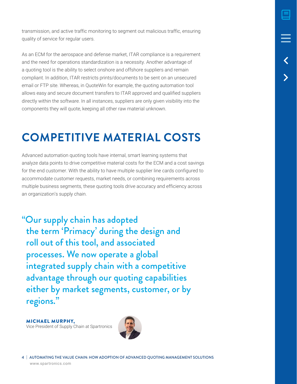<span id="page-3-0"></span>transmission, and active traffic monitoring to segment out malicious traffic, ensuring quality of service for regular users.

As an ECM for the aerospace and defense market, ITAR compliance is a requirement and the need for operations standardization is a necessity. Another advantage of a quoting tool is the ability to select onshore and offshore suppliers and remain compliant. In addition, ITAR restricts prints/documents to be sent on an unsecured email or FTP site. Whereas, in QuoteWin for example, the quoting automation tool allows easy and secure document transfers to ITAR approved and qualified suppliers directly within the software. In all instances, suppliers are only given visibility into the components they will quote, keeping all other raw material unknown.

### **COMPETITIVE MATERIAL COSTS**

Advanced automation quoting tools have internal, smart learning systems that analyze data points to drive competitive material costs for the ECM and a cost savings for the end customer. With the ability to have multiple supplier line cards configured to accommodate customer requests, market needs, or combining requirements across multiple business segments, these quoting tools drive accuracy and efficiency across an organization's supply chain.

"Our supply chain has adopted the term 'Primacy' during the design and roll out of this tool, and associated processes. We now operate a global integrated supply chain with a competitive advantage through our quoting capabilities either by market segments, customer, or by regions."

MICHAEL MURPHY, Vice President of Supply Chain at Spartronics



4 | AUTOMATING THE VALUE CHAIN: HOW ADOPTION OF ADVANCED QUOTING MANAGEMENT SOLUTIONS [www.spartronics.com](https://www.spartronics.com)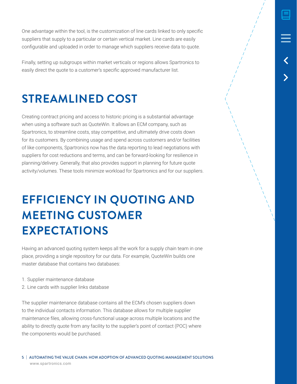<span id="page-4-0"></span>One advantage within the tool, is the customization of line cards linked to only specific suppliers that supply to a particular or certain vertical market. Line cards are easily configurable and uploaded in order to manage which suppliers receive data to quote.

Finally, setting up subgroups within market verticals or regions allows Spartronics to easily direct the quote to a customer's specific approved manufacturer list.

### **STREAMLINED COST**

Creating contract pricing and access to historic pricing is a substantial advantage when using a software such as QuoteWin. It allows an ECM company, such as Spartronics, to streamline costs, stay competitive, and ultimately drive costs down for its customers. By combining usage and spend across customers and/or facilities of like components, Spartronics now has the data reporting to lead negotiations with suppliers for cost reductions and terms, and can be forward-looking for resilience in planning/delivery. Generally, that also provides support in planning for future quote activity/volumes. These tools minimize workload for Spartronics and for our suppliers.

### **EFFICIENCY IN QUOTING AND MEETING CUSTOMER EXPECTATIONS**

Having an advanced quoting system keeps all the work for a supply chain team in one place, providing a single repository for our data. For example, QuoteWin builds one master database that contains two databases:

- 1. Supplier maintenance database
- 2. Line cards with supplier links database

The supplier maintenance database contains all the ECM's chosen suppliers down to the individual contacts information. This database allows for multiple supplier maintenance files, allowing cross-functional usage across multiple locations and the ability to directly quote from any facility to the supplier's point of contact (POC) where the components would be purchased.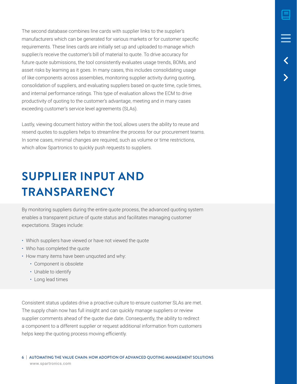<span id="page-5-0"></span>The second database combines line cards with supplier links to the supplier's manufacturers which can be generated for various markets or for customer specific requirements. These lines cards are initially set up and uploaded to manage which supplier/s receive the customer's bill of material to quote. To drive accuracy for future quote submissions, the tool consistently evaluates usage trends, BOMs, and asset risks by learning as it goes. In many cases, this includes consolidating usage of like components across assemblies, monitoring supplier activity during quoting, consolidation of suppliers, and evaluating suppliers based on quote time, cycle times, and internal performance ratings. This type of evaluation allows the ECM to drive productivity of quoting to the customer's advantage, meeting and in many cases exceeding customer's service level agreements (SLAs).

Lastly, viewing document history within the tool, allows users the ability to reuse and resend quotes to suppliers helps to streamline the process for our procurement teams. In some cases, minimal changes are required, such as volume or time restrictions, which allow Spartronics to quickly push requests to suppliers.

### **SUPPLIER INPUT AND TRANSPARENCY**

By monitoring suppliers during the entire quote process, the advanced quoting system enables a transparent picture of quote status and facilitates managing customer expectations. Stages include:

- Which suppliers have viewed or have not viewed the quote
- Who has completed the quote
- How many items have been unquoted and why:
	- Component is obsolete
	- Unable to identify
	- Long lead times

Consistent status updates drive a proactive culture to ensure customer SLAs are met. The supply chain now has full insight and can quickly manage suppliers or review supplier comments ahead of the quote due date. Consequently, the ability to redirect a component to a different supplier or request additional information from customers helps keep the quoting process moving efficiently.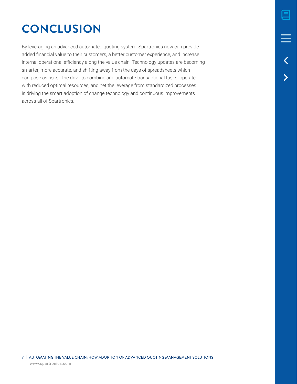# <span id="page-6-0"></span>**CONCLUSION**

By leveraging an advanced automated quoting system, Spartronics now can provide added financial value to their customers, a better customer experience, and increase internal operational efficiency along the value chain. Technology updates are becoming smarter, more accurate, and shifting away from the days of spreadsheets which can pose as risks. The drive to combine and automate transactional tasks, operate with reduced optimal resources, and net the leverage from standardized processes is driving the smart adoption of change technology and continuous improvements across all of Spartronics.